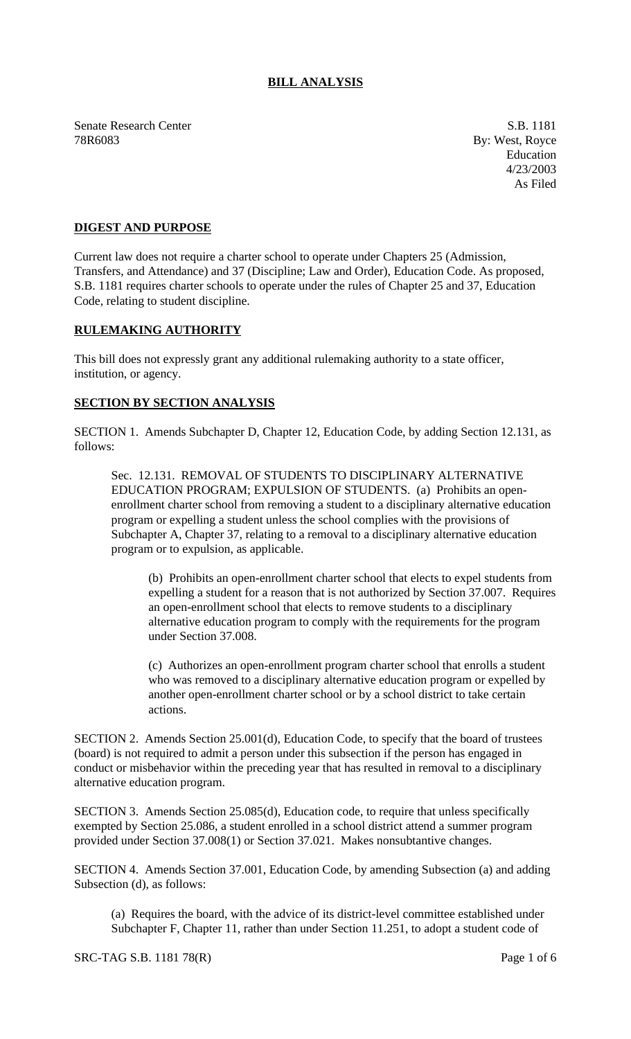## **BILL ANALYSIS**

Senate Research Center S.B. 1181 78R6083 By: West, Royce

Education 4/23/2003 As Filed

## **DIGEST AND PURPOSE**

Current law does not require a charter school to operate under Chapters 25 (Admission, Transfers, and Attendance) and 37 (Discipline; Law and Order), Education Code. As proposed, S.B. 1181 requires charter schools to operate under the rules of Chapter 25 and 37, Education Code, relating to student discipline.

## **RULEMAKING AUTHORITY**

This bill does not expressly grant any additional rulemaking authority to a state officer, institution, or agency.

## **SECTION BY SECTION ANALYSIS**

SECTION 1. Amends Subchapter D, Chapter 12, Education Code, by adding Section 12.131, as follows:

Sec. 12.131. REMOVAL OF STUDENTS TO DISCIPLINARY ALTERNATIVE EDUCATION PROGRAM; EXPULSION OF STUDENTS. (a) Prohibits an openenrollment charter school from removing a student to a disciplinary alternative education program or expelling a student unless the school complies with the provisions of Subchapter A, Chapter 37, relating to a removal to a disciplinary alternative education program or to expulsion, as applicable.

(b) Prohibits an open-enrollment charter school that elects to expel students from expelling a student for a reason that is not authorized by Section 37.007. Requires an open-enrollment school that elects to remove students to a disciplinary alternative education program to comply with the requirements for the program under Section 37.008.

(c) Authorizes an open-enrollment program charter school that enrolls a student who was removed to a disciplinary alternative education program or expelled by another open-enrollment charter school or by a school district to take certain actions.

SECTION 2. Amends Section 25.001(d), Education Code, to specify that the board of trustees (board) is not required to admit a person under this subsection if the person has engaged in conduct or misbehavior within the preceding year that has resulted in removal to a disciplinary alternative education program.

SECTION 3. Amends Section 25.085(d), Education code, to require that unless specifically exempted by Section 25.086, a student enrolled in a school district attend a summer program provided under Section 37.008(1) or Section 37.021. Makes nonsubtantive changes.

SECTION 4. Amends Section 37.001, Education Code, by amending Subsection (a) and adding Subsection (d), as follows:

(a) Requires the board, with the advice of its district-level committee established under Subchapter F, Chapter 11, rather than under Section 11.251, to adopt a student code of

SRC-TAG S.B. 1181 78(R) Page 1 of 6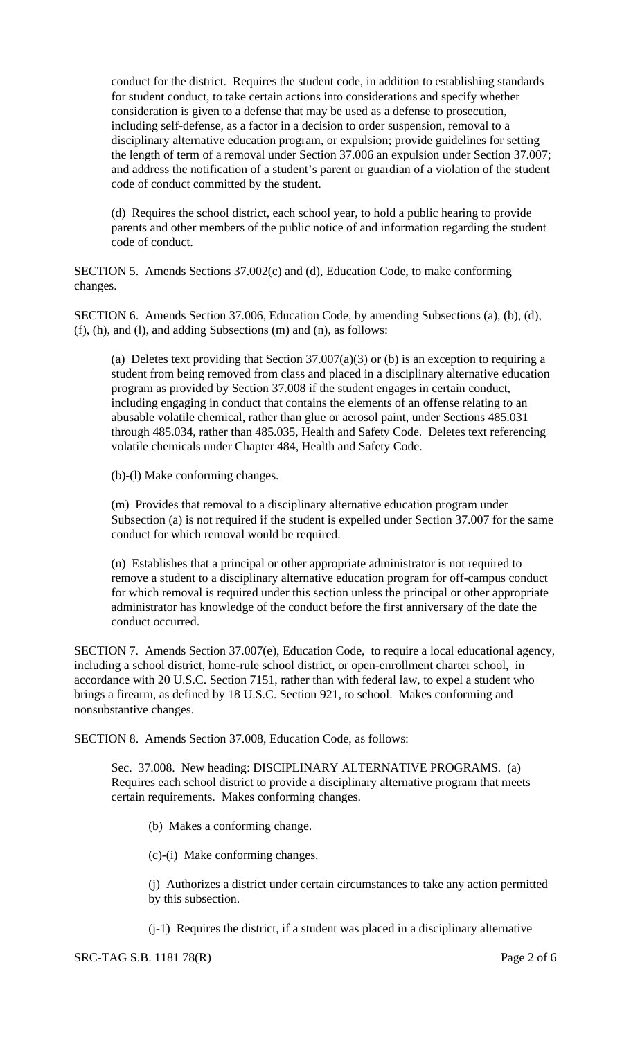conduct for the district. Requires the student code, in addition to establishing standards for student conduct, to take certain actions into considerations and specify whether consideration is given to a defense that may be used as a defense to prosecution, including self-defense, as a factor in a decision to order suspension, removal to a disciplinary alternative education program, or expulsion; provide guidelines for setting the length of term of a removal under Section 37.006 an expulsion under Section 37.007; and address the notification of a student's parent or guardian of a violation of the student code of conduct committed by the student.

(d) Requires the school district, each school year, to hold a public hearing to provide parents and other members of the public notice of and information regarding the student code of conduct.

SECTION 5. Amends Sections 37.002(c) and (d), Education Code, to make conforming changes.

SECTION 6. Amends Section 37.006, Education Code, by amending Subsections (a), (b), (d), (f), (h), and (l), and adding Subsections (m) and (n), as follows:

(a) Deletes text providing that Section  $37.007(a)(3)$  or (b) is an exception to requiring a student from being removed from class and placed in a disciplinary alternative education program as provided by Section 37.008 if the student engages in certain conduct, including engaging in conduct that contains the elements of an offense relating to an abusable volatile chemical, rather than glue or aerosol paint, under Sections 485.031 through 485.034, rather than 485.035, Health and Safety Code. Deletes text referencing volatile chemicals under Chapter 484, Health and Safety Code.

(b)-(l) Make conforming changes.

(m) Provides that removal to a disciplinary alternative education program under Subsection (a) is not required if the student is expelled under Section 37.007 for the same conduct for which removal would be required.

(n) Establishes that a principal or other appropriate administrator is not required to remove a student to a disciplinary alternative education program for off-campus conduct for which removal is required under this section unless the principal or other appropriate administrator has knowledge of the conduct before the first anniversary of the date the conduct occurred.

SECTION 7. Amends Section 37.007(e), Education Code, to require a local educational agency, including a school district, home-rule school district, or open-enrollment charter school, in accordance with 20 U.S.C. Section 7151, rather than with federal law, to expel a student who brings a firearm, as defined by 18 U.S.C. Section 921, to school. Makes conforming and nonsubstantive changes.

SECTION 8. Amends Section 37.008, Education Code, as follows:

Sec. 37.008. New heading: DISCIPLINARY ALTERNATIVE PROGRAMS. (a) Requires each school district to provide a disciplinary alternative program that meets certain requirements. Makes conforming changes.

(b) Makes a conforming change.

(c)-(i) Make conforming changes.

(j) Authorizes a district under certain circumstances to take any action permitted by this subsection.

(j-1) Requires the district, if a student was placed in a disciplinary alternative

SRC-TAG S.B. 1181 78(R) Page 2 of 6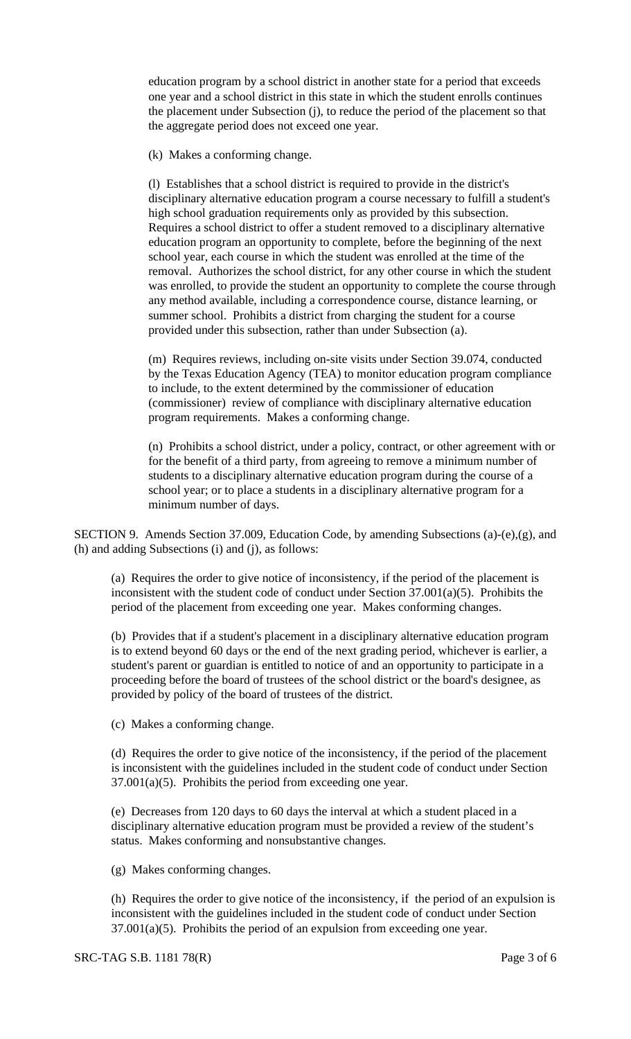education program by a school district in another state for a period that exceeds one year and a school district in this state in which the student enrolls continues the placement under Subsection (j), to reduce the period of the placement so that the aggregate period does not exceed one year.

(k) Makes a conforming change.

(l) Establishes that a school district is required to provide in the district's disciplinary alternative education program a course necessary to fulfill a student's high school graduation requirements only as provided by this subsection. Requires a school district to offer a student removed to a disciplinary alternative education program an opportunity to complete, before the beginning of the next school year, each course in which the student was enrolled at the time of the removal. Authorizes the school district, for any other course in which the student was enrolled, to provide the student an opportunity to complete the course through any method available, including a correspondence course, distance learning, or summer school. Prohibits a district from charging the student for a course provided under this subsection, rather than under Subsection (a).

(m) Requires reviews, including on-site visits under Section 39.074, conducted by the Texas Education Agency (TEA) to monitor education program compliance to include, to the extent determined by the commissioner of education (commissioner) review of compliance with disciplinary alternative education program requirements. Makes a conforming change.

(n) Prohibits a school district, under a policy, contract, or other agreement with or for the benefit of a third party, from agreeing to remove a minimum number of students to a disciplinary alternative education program during the course of a school year; or to place a students in a disciplinary alternative program for a minimum number of days.

SECTION 9. Amends Section 37.009, Education Code, by amending Subsections (a)-(e),(g), and (h) and adding Subsections (i) and (j), as follows:

(a) Requires the order to give notice of inconsistency, if the period of the placement is inconsistent with the student code of conduct under Section 37.001(a)(5). Prohibits the period of the placement from exceeding one year. Makes conforming changes.

(b) Provides that if a student's placement in a disciplinary alternative education program is to extend beyond 60 days or the end of the next grading period, whichever is earlier, a student's parent or guardian is entitled to notice of and an opportunity to participate in a proceeding before the board of trustees of the school district or the board's designee, as provided by policy of the board of trustees of the district.

(c) Makes a conforming change.

(d) Requires the order to give notice of the inconsistency, if the period of the placement is inconsistent with the guidelines included in the student code of conduct under Section  $37.001(a)(5)$ . Prohibits the period from exceeding one year.

(e) Decreases from 120 days to 60 days the interval at which a student placed in a disciplinary alternative education program must be provided a review of the student's status. Makes conforming and nonsubstantive changes.

(g) Makes conforming changes.

(h) Requires the order to give notice of the inconsistency, if the period of an expulsion is inconsistent with the guidelines included in the student code of conduct under Section  $37.001(a)(5)$ . Prohibits the period of an expulsion from exceeding one year.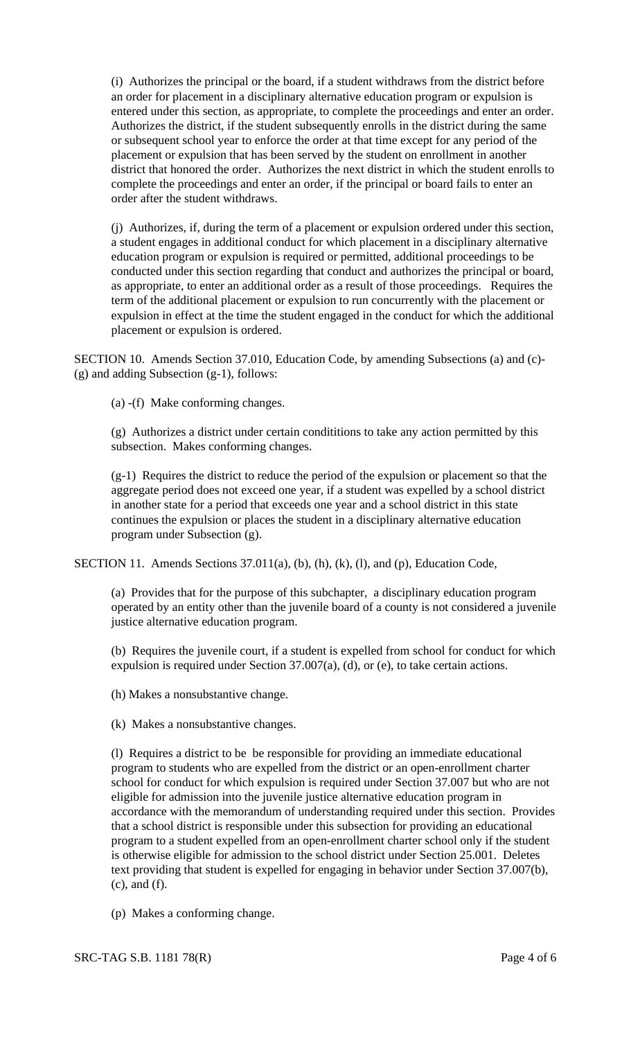(i) Authorizes the principal or the board, if a student withdraws from the district before an order for placement in a disciplinary alternative education program or expulsion is entered under this section, as appropriate, to complete the proceedings and enter an order. Authorizes the district, if the student subsequently enrolls in the district during the same or subsequent school year to enforce the order at that time except for any period of the placement or expulsion that has been served by the student on enrollment in another district that honored the order. Authorizes the next district in which the student enrolls to complete the proceedings and enter an order, if the principal or board fails to enter an order after the student withdraws.

(j) Authorizes, if, during the term of a placement or expulsion ordered under this section, a student engages in additional conduct for which placement in a disciplinary alternative education program or expulsion is required or permitted, additional proceedings to be conducted under this section regarding that conduct and authorizes the principal or board, as appropriate, to enter an additional order as a result of those proceedings. Requires the term of the additional placement or expulsion to run concurrently with the placement or expulsion in effect at the time the student engaged in the conduct for which the additional placement or expulsion is ordered.

SECTION 10. Amends Section 37.010, Education Code, by amending Subsections (a) and (c)- (g) and adding Subsection (g-1), follows:

(a) -(f) Make conforming changes.

(g) Authorizes a district under certain condititions to take any action permitted by this subsection. Makes conforming changes.

(g-1) Requires the district to reduce the period of the expulsion or placement so that the aggregate period does not exceed one year, if a student was expelled by a school district in another state for a period that exceeds one year and a school district in this state continues the expulsion or places the student in a disciplinary alternative education program under Subsection (g).

SECTION 11. Amends Sections 37.011(a), (b), (h), (k), (l), and (p), Education Code,

(a) Provides that for the purpose of this subchapter, a disciplinary education program operated by an entity other than the juvenile board of a county is not considered a juvenile justice alternative education program.

(b) Requires the juvenile court, if a student is expelled from school for conduct for which expulsion is required under Section 37.007(a), (d), or (e), to take certain actions.

(h) Makes a nonsubstantive change.

(k) Makes a nonsubstantive changes.

(l) Requires a district to be be responsible for providing an immediate educational program to students who are expelled from the district or an open-enrollment charter school for conduct for which expulsion is required under Section 37.007 but who are not eligible for admission into the juvenile justice alternative education program in accordance with the memorandum of understanding required under this section. Provides that a school district is responsible under this subsection for providing an educational program to a student expelled from an open-enrollment charter school only if the student is otherwise eligible for admission to the school district under Section 25.001. Deletes text providing that student is expelled for engaging in behavior under Section 37.007(b), (c), and (f).

(p) Makes a conforming change.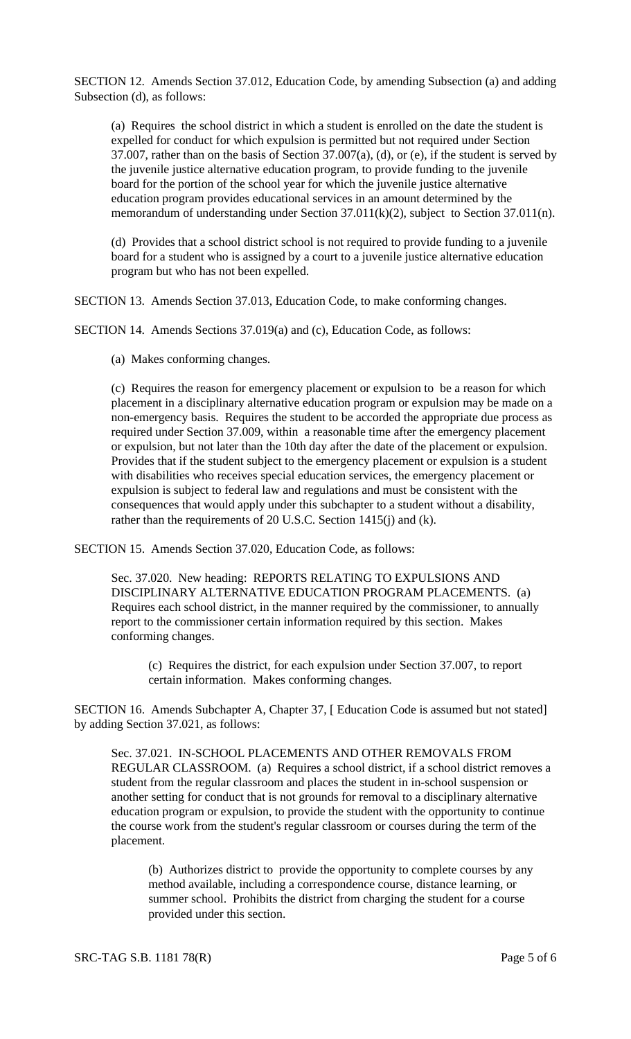SECTION 12. Amends Section 37.012, Education Code, by amending Subsection (a) and adding Subsection (d), as follows:

(a) Requires the school district in which a student is enrolled on the date the student is expelled for conduct for which expulsion is permitted but not required under Section 37.007, rather than on the basis of Section 37.007(a), (d), or (e), if the student is served by the juvenile justice alternative education program, to provide funding to the juvenile board for the portion of the school year for which the juvenile justice alternative education program provides educational services in an amount determined by the memorandum of understanding under Section 37.011(k)(2), subject to Section 37.011(n).

(d) Provides that a school district school is not required to provide funding to a juvenile board for a student who is assigned by a court to a juvenile justice alternative education program but who has not been expelled.

SECTION 13. Amends Section 37.013, Education Code, to make conforming changes.

SECTION 14. Amends Sections 37.019(a) and (c), Education Code, as follows:

(a) Makes conforming changes.

(c) Requires the reason for emergency placement or expulsion to be a reason for which placement in a disciplinary alternative education program or expulsion may be made on a non-emergency basis. Requires the student to be accorded the appropriate due process as required under Section 37.009, within a reasonable time after the emergency placement or expulsion, but not later than the 10th day after the date of the placement or expulsion. Provides that if the student subject to the emergency placement or expulsion is a student with disabilities who receives special education services, the emergency placement or expulsion is subject to federal law and regulations and must be consistent with the consequences that would apply under this subchapter to a student without a disability, rather than the requirements of 20 U.S.C. Section 1415(j) and (k).

SECTION 15. Amends Section 37.020, Education Code, as follows:

Sec. 37.020. New heading: REPORTS RELATING TO EXPULSIONS AND DISCIPLINARY ALTERNATIVE EDUCATION PROGRAM PLACEMENTS. (a) Requires each school district, in the manner required by the commissioner, to annually report to the commissioner certain information required by this section. Makes conforming changes.

(c) Requires the district, for each expulsion under Section 37.007, to report certain information. Makes conforming changes.

SECTION 16. Amends Subchapter A, Chapter 37, [ Education Code is assumed but not stated] by adding Section 37.021, as follows:

Sec. 37.021. IN-SCHOOL PLACEMENTS AND OTHER REMOVALS FROM REGULAR CLASSROOM. (a) Requires a school district, if a school district removes a student from the regular classroom and places the student in in-school suspension or another setting for conduct that is not grounds for removal to a disciplinary alternative education program or expulsion, to provide the student with the opportunity to continue the course work from the student's regular classroom or courses during the term of the placement.

(b) Authorizes district to provide the opportunity to complete courses by any method available, including a correspondence course, distance learning, or summer school. Prohibits the district from charging the student for a course provided under this section.